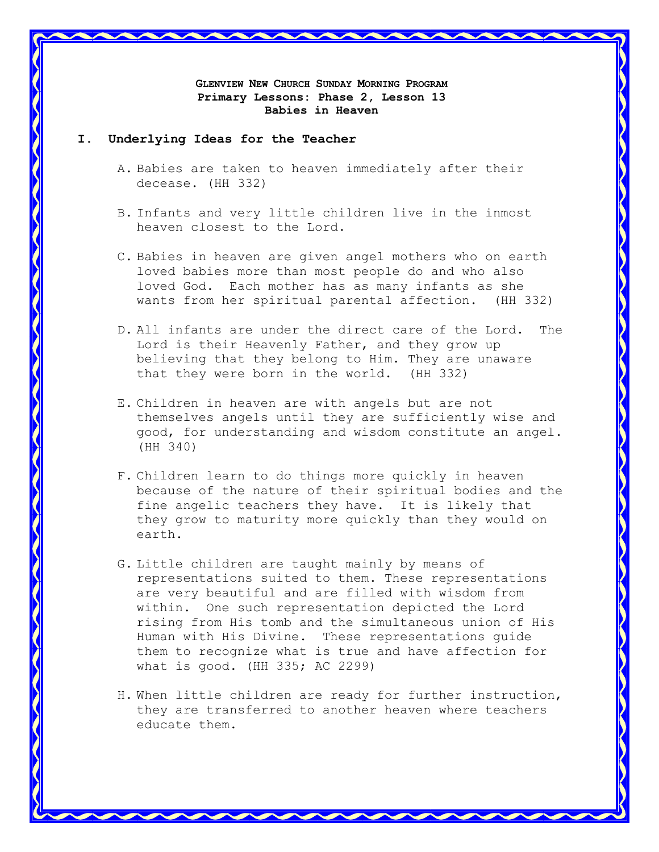**GLENVIEW NEW CHURCH SUNDAY MORNING PROGRAM Primary Lessons: Phase 2, Lesson 13 Babies in Heaven**

#### **I. Underlying Ideas for the Teacher**

- A. Babies are taken to heaven immediately after their decease. (HH 332)
- B. Infants and very little children live in the inmost heaven closest to the Lord.
- C. Babies in heaven are given angel mothers who on earth loved babies more than most people do and who also loved God. Each mother has as many infants as she wants from her spiritual parental affection. (HH 332)
- D. All infants are under the direct care of the Lord. The Lord is their Heavenly Father, and they grow up believing that they belong to Him. They are unaware that they were born in the world. (HH 332)
- E. Children in heaven are with angels but are not themselves angels until they are sufficiently wise and good, for understanding and wisdom constitute an angel. (HH 340)
- F. Children learn to do things more quickly in heaven because of the nature of their spiritual bodies and the fine angelic teachers they have. It is likely that they grow to maturity more quickly than they would on earth.
- G. Little children are taught mainly by means of representations suited to them. These representations are very beautiful and are filled with wisdom from within. One such representation depicted the Lord rising from His tomb and the simultaneous union of His Human with His Divine. These representations guide them to recognize what is true and have affection for what is good. (HH 335; AC 2299)
- H. When little children are ready for further instruction, they are transferred to another heaven where teachers educate them.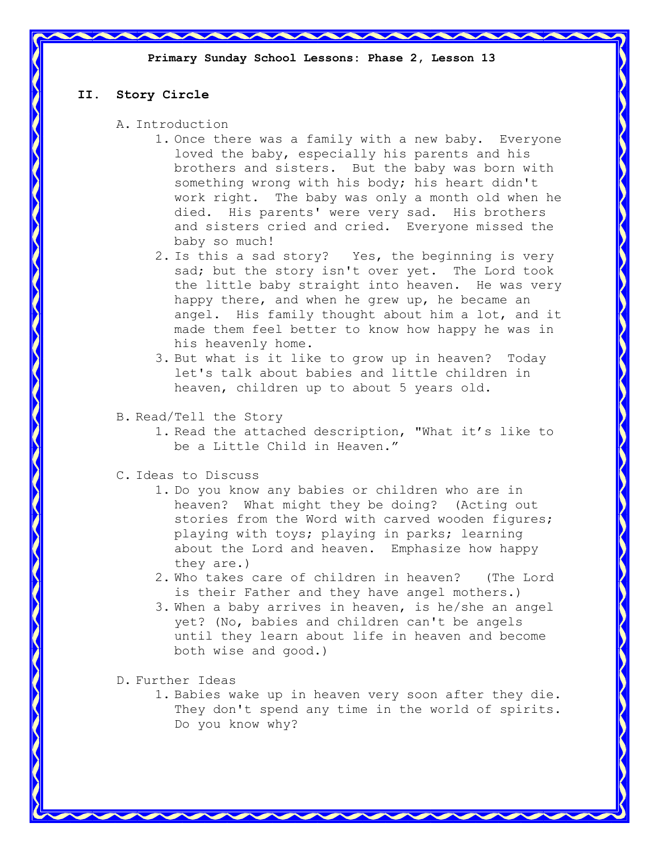# **II. Story Circle**

- A. Introduction
	- 1. Once there was a family with a new baby. Everyone loved the baby, especially his parents and his brothers and sisters. But the baby was born with something wrong with his body; his heart didn't work right. The baby was only a month old when he died. His parents' were very sad. His brothers and sisters cried and cried. Everyone missed the baby so much!
	- 2. Is this a sad story? Yes, the beginning is very sad; but the story isn't over yet. The Lord took the little baby straight into heaven. He was very happy there, and when he grew up, he became an angel. His family thought about him a lot, and it made them feel better to know how happy he was in his heavenly home.
	- 3. But what is it like to grow up in heaven? Today let's talk about babies and little children in heaven, children up to about 5 years old.
- B. Read/Tell the Story
	- 1. Read the attached description, "What it's like to be a Little Child in Heaven."
- C. Ideas to Discuss
	- 1. Do you know any babies or children who are in heaven? What might they be doing? (Acting out stories from the Word with carved wooden figures; playing with toys; playing in parks; learning about the Lord and heaven. Emphasize how happy they are.)
	- 2. Who takes care of children in heaven? (The Lord is their Father and they have angel mothers.)
	- 3. When a baby arrives in heaven, is he/she an angel yet? (No, babies and children can't be angels until they learn about life in heaven and become both wise and good.)
- D. Further Ideas
	- 1. Babies wake up in heaven very soon after they die. They don't spend any time in the world of spirits. Do you know why?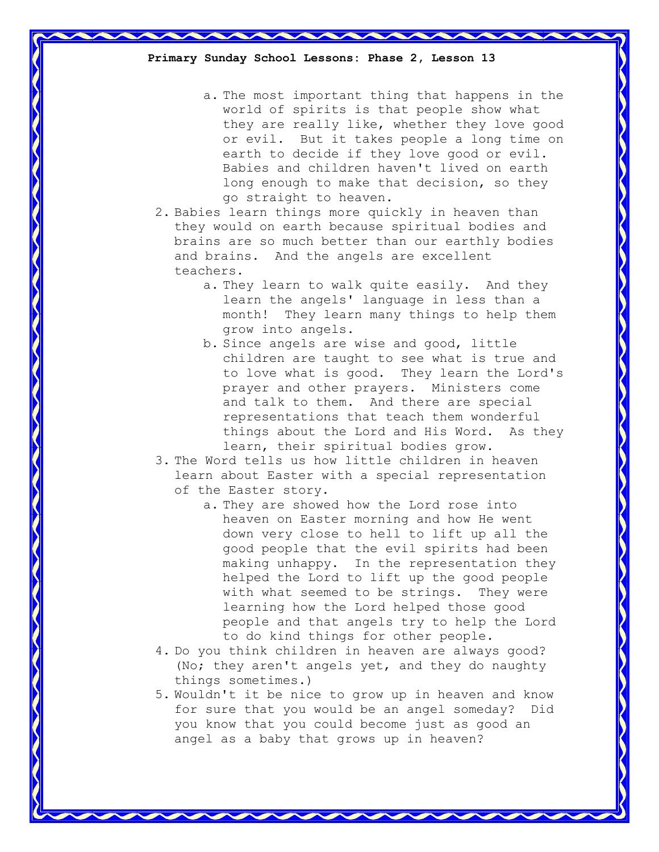a. The most important thing that happens in the world of spirits is that people show what they are really like, whether they love good or evil. But it takes people a long time on earth to decide if they love good or evil. Babies and children haven't lived on earth long enough to make that decision, so they go straight to heaven.

2. Babies learn things more quickly in heaven than they would on earth because spiritual bodies and brains are so much better than our earthly bodies and brains. And the angels are excellent teachers.

- a. They learn to walk quite easily. And they learn the angels' language in less than a month! They learn many things to help them grow into angels.
- b. Since angels are wise and good, little children are taught to see what is true and to love what is good. They learn the Lord's prayer and other prayers. Ministers come and talk to them. And there are special representations that teach them wonderful things about the Lord and His Word. As they learn, their spiritual bodies grow.
- 3. The Word tells us how little children in heaven learn about Easter with a special representation of the Easter story.
	- a. They are showed how the Lord rose into heaven on Easter morning and how He went down very close to hell to lift up all the good people that the evil spirits had been making unhappy. In the representation they helped the Lord to lift up the good people with what seemed to be strings. They were learning how the Lord helped those good people and that angels try to help the Lord to do kind things for other people.
- 4. Do you think children in heaven are always good? (No; they aren't angels yet, and they do naughty things sometimes.)
- 5. Wouldn't it be nice to grow up in heaven and know for sure that you would be an angel someday? Did you know that you could become just as good an angel as a baby that grows up in heaven?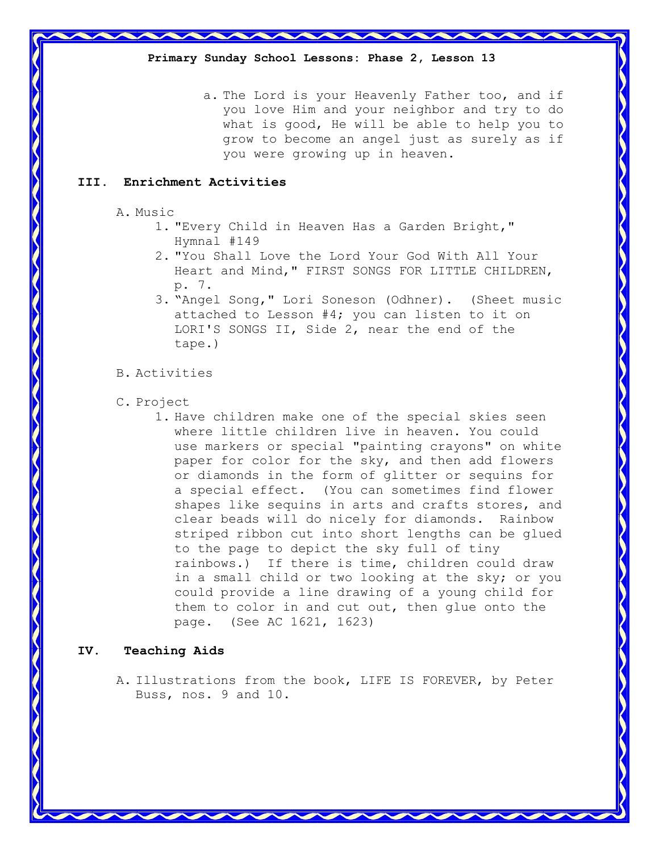a. The Lord is your Heavenly Father too, and if you love Him and your neighbor and try to do what is good, He will be able to help you to grow to become an angel just as surely as if you were growing up in heaven.

## **III. Enrichment Activities**

A. Music

- 1. "Every Child in Heaven Has a Garden Bright," Hymnal #149
- 2. "You Shall Love the Lord Your God With All Your Heart and Mind," FIRST SONGS FOR LITTLE CHILDREN, p. 7.
- 3. "Angel Song," Lori Soneson (Odhner). (Sheet music attached to Lesson #4; you can listen to it on LORI'S SONGS II, Side 2, near the end of the tape.)

## B. Activities

- C. Project
	- 1. Have children make one of the special skies seen where little children live in heaven. You could use markers or special "painting crayons" on white paper for color for the sky, and then add flowers or diamonds in the form of glitter or sequins for a special effect. (You can sometimes find flower shapes like sequins in arts and crafts stores, and clear beads will do nicely for diamonds. Rainbow striped ribbon cut into short lengths can be glued to the page to depict the sky full of tiny rainbows.) If there is time, children could draw in a small child or two looking at the sky; or you could provide a line drawing of a young child for them to color in and cut out, then glue onto the page. (See AC 1621, 1623)

## **IV. Teaching Aids**

A. Illustrations from the book, LIFE IS FOREVER, by Peter Buss, nos. 9 and 10.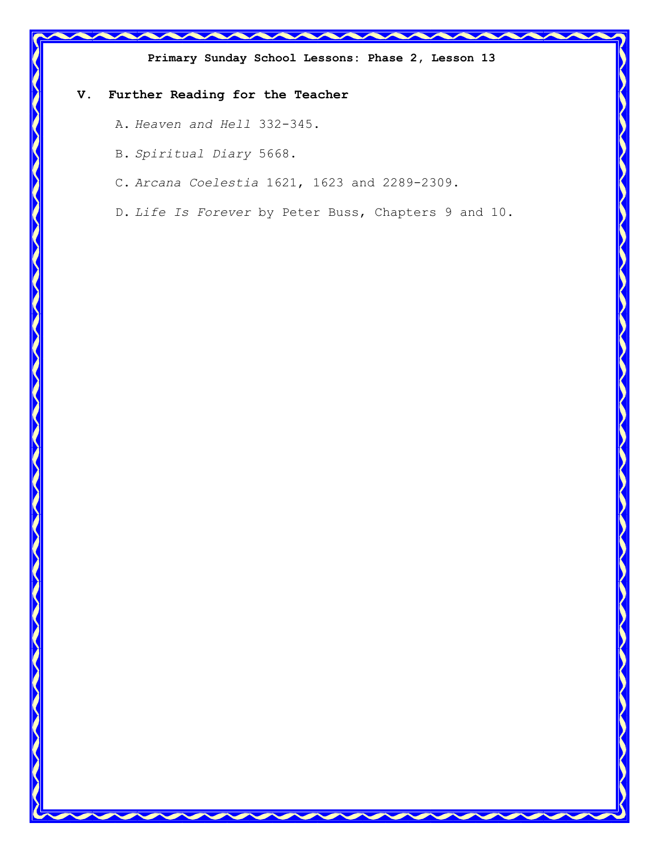

D. *Life Is Forever* by Peter Buss, Chapters 9 and 10.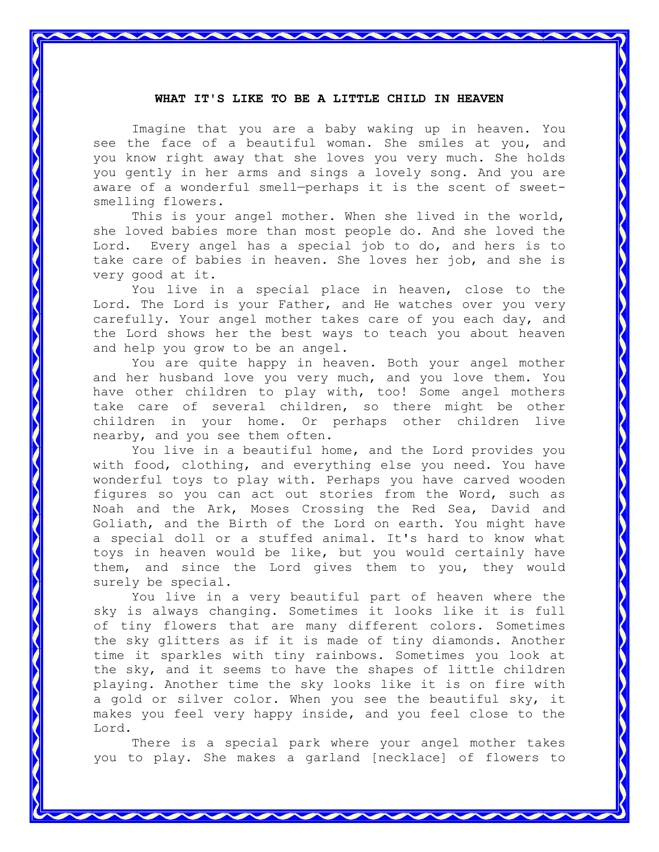#### **WHAT IT'S LIKE TO BE A LITTLE CHILD IN HEAVEN**

Imagine that you are a baby waking up in heaven. You see the face of a beautiful woman. She smiles at you, and you know right away that she loves you very much. She holds you gently in her arms and sings a lovely song. And you are aware of a wonderful smell—perhaps it is the scent of sweetsmelling flowers.

This is your angel mother. When she lived in the world, she loved babies more than most people do. And she loved the Lord. Every angel has a special job to do, and hers is to take care of babies in heaven. She loves her job, and she is very good at it.

You live in a special place in heaven, close to the Lord. The Lord is your Father, and He watches over you very carefully. Your angel mother takes care of you each day, and the Lord shows her the best ways to teach you about heaven and help you grow to be an angel.

You are quite happy in heaven. Both your angel mother and her husband love you very much, and you love them. You have other children to play with, too! Some angel mothers take care of several children, so there might be other children in your home. Or perhaps other children live nearby, and you see them often.

You live in a beautiful home, and the Lord provides you with food, clothing, and everything else you need. You have wonderful toys to play with. Perhaps you have carved wooden figures so you can act out stories from the Word, such as Noah and the Ark, Moses Crossing the Red Sea, David and Goliath, and the Birth of the Lord on earth. You might have a special doll or a stuffed animal. It's hard to know what toys in heaven would be like, but you would certainly have them, and since the Lord gives them to you, they would surely be special.

You live in a very beautiful part of heaven where the sky is always changing. Sometimes it looks like it is full of tiny flowers that are many different colors. Sometimes the sky glitters as if it is made of tiny diamonds. Another time it sparkles with tiny rainbows. Sometimes you look at the sky, and it seems to have the shapes of little children playing. Another time the sky looks like it is on fire with a gold or silver color. When you see the beautiful sky, it makes you feel very happy inside, and you feel close to the Lord.

There is a special park where your angel mother takes you to play. She makes a garland [necklace] of flowers to